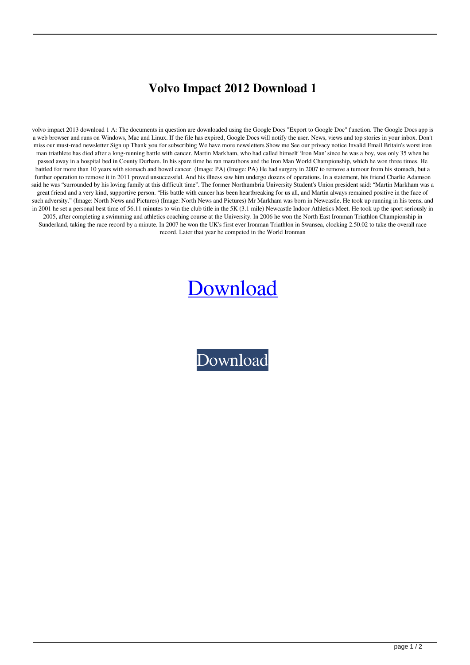## **Volvo Impact 2012 Download 1**

volvo impact 2013 download 1 A: The documents in question are downloaded using the Google Docs "Export to Google Doc" function. The Google Docs app is a web browser and runs on Windows, Mac and Linux. If the file has expired, Google Docs will notify the user. News, views and top stories in your inbox. Don't miss our must-read newsletter Sign up Thank you for subscribing We have more newsletters Show me See our privacy notice Invalid Email Britain's worst iron man triathlete has died after a long-running battle with cancer. Martin Markham, who had called himself 'Iron Man' since he was a boy, was only 35 when he passed away in a hospital bed in County Durham. In his spare time he ran marathons and the Iron Man World Championship, which he won three times. He battled for more than 10 years with stomach and bowel cancer. (Image: PA) (Image: PA) He had surgery in 2007 to remove a tumour from his stomach, but a further operation to remove it in 2011 proved unsuccessful. And his illness saw him undergo dozens of operations. In a statement, his friend Charlie Adamson said he was "surrounded by his loving family at this difficult time". The former Northumbria University Student's Union president said: "Martin Markham was a great friend and a very kind, supportive person. "His battle with cancer has been heartbreaking for us all, and Martin always remained positive in the face of such adversity." (Image: North News and Pictures) (Image: North News and Pictures) Mr Markham was born in Newcastle. He took up running in his teens, and in 2001 he set a personal best time of 56.11 minutes to win the club title in the 5K (3.1 mile) Newcastle Indoor Athletics Meet. He took up the sport seriously in 2005, after completing a swimming and athletics coaching course at the University. In 2006 he won the North East Ironman Triathlon Championship in Sunderland, taking the race record by a minute. In 2007 he won the UK's first ever Ironman Triathlon in Swansea, clocking 2.50.02 to take the overall race record. Later that year he competed in the World Ironman

## [Download](http://evacdir.com/dm9sdm8gaW1wYWN0IDIwMTIgZG93bmxvYWQgMQdm9.ZG93bmxvYWR8U0EzWVhSeWZId3hOalV5TnpRd09EWTJmSHd5TlRjMGZId29UU2tnY21WaFpDMWliRzluSUZ0R1lYTjBJRWRGVGww?/antipsychotics/memos?grattitude=higginson&myusgreencard=sectioned)

[Download](http://evacdir.com/dm9sdm8gaW1wYWN0IDIwMTIgZG93bmxvYWQgMQdm9.ZG93bmxvYWR8U0EzWVhSeWZId3hOalV5TnpRd09EWTJmSHd5TlRjMGZId29UU2tnY21WaFpDMWliRzluSUZ0R1lYTjBJRWRGVGww?/antipsychotics/memos?grattitude=higginson&myusgreencard=sectioned)